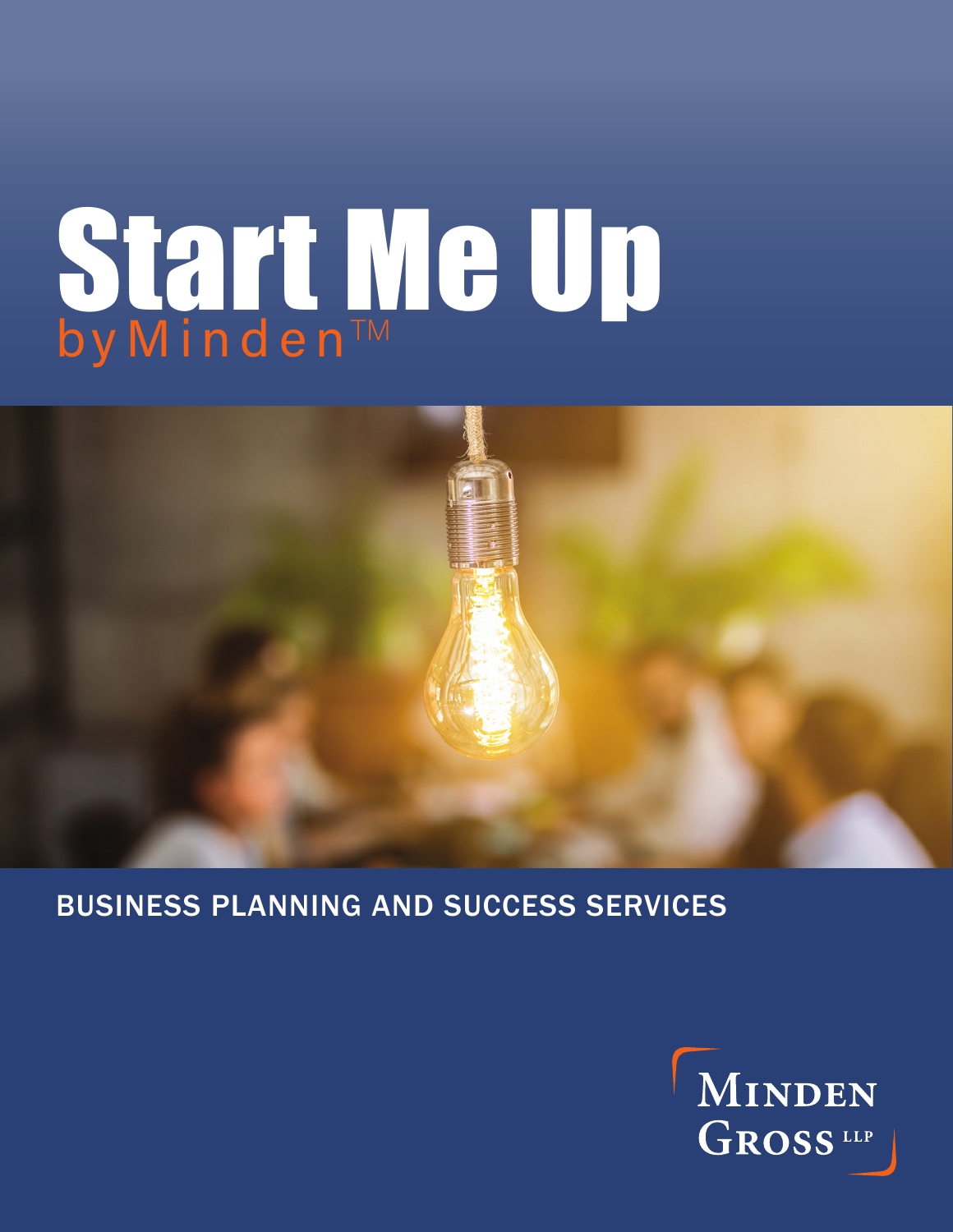

#### BUSINESS PLANNING AND SUCCESS SERVICES

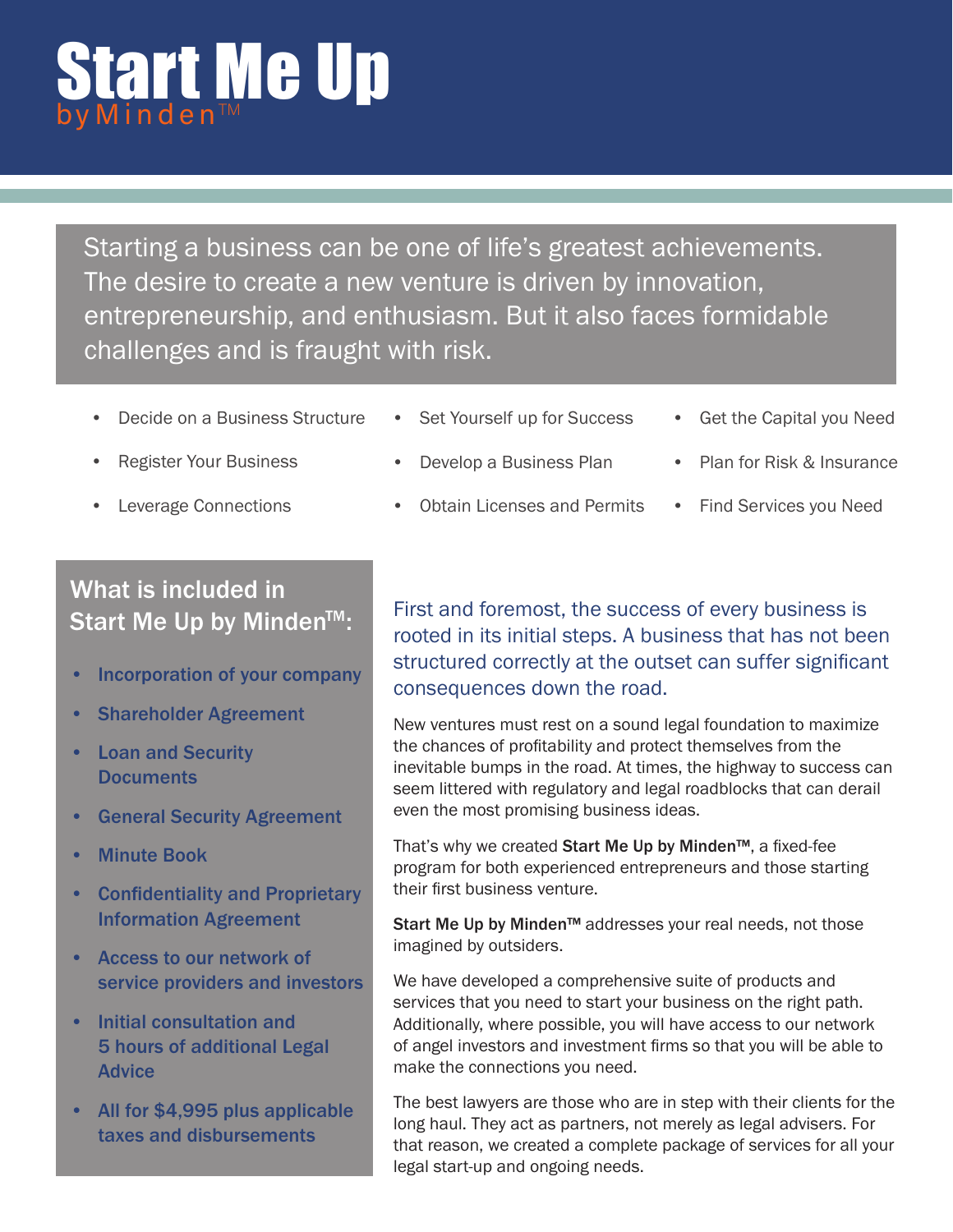Starting a business can be one of life's greatest achievements. The desire to create a new venture is driven by innovation, entrepreneurship, and enthusiasm. But it also faces formidable challenges and is fraught with risk.

- Decide on a Business Structure
- **Register Your Business**
- Leverage Connections
- Set Yourself up for Success
- Get the Capital you Need
- Develop a Business Plan
- Plan for Risk & Insurance
- Obtain Licenses and Permits
- Find Services you Need

#### What is included in Start Me Up by Minden<sup>TM</sup>:

- Incorporation of your company
- Shareholder Agreement
- Loan and Security **Documents**
- **General Security Agreement**
- **Minute Book**
- Confidentiality and Proprietary Information Agreement
- Access to our network of service providers and investors
- Initial consultation and 5 hours of additional Legal Advice
- All for \$4,995 plus applicable taxes and disbursements

First and foremost, the success of every business is rooted in its initial steps. A business that has not been structured correctly at the outset can suffer significant consequences down the road.

New ventures must rest on a sound legal foundation to maximize the chances of profitability and protect themselves from the inevitable bumps in the road. At times, the highway to success can seem littered with regulatory and legal roadblocks that can derail even the most promising business ideas.

That's why we created Start Me Up by Minden™, a fixed-fee program for both experienced entrepreneurs and those starting their first business venture.

Start Me Up by Minden<sup>™</sup> addresses your real needs, not those imagined by outsiders.

We have developed a comprehensive suite of products and services that you need to start your business on the right path. Additionally, where possible, you will have access to our network of angel investors and investment firms so that you will be able to make the connections you need.

The best lawyers are those who are in step with their clients for the long haul. They act as partners, not merely as legal advisers. For that reason, we created a complete package of services for all your legal start-up and ongoing needs.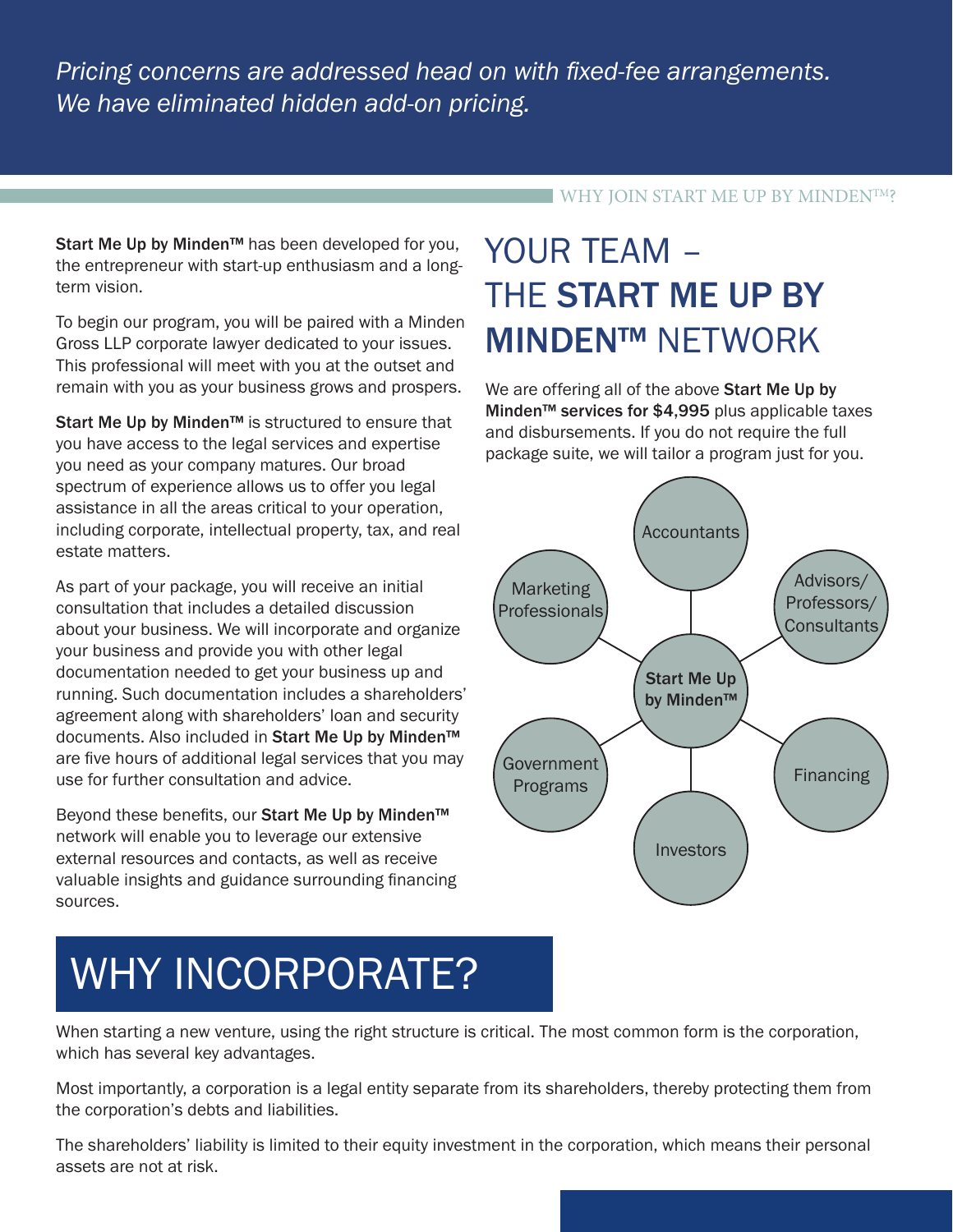#### WHY JOIN START ME UP BY MINDENTM?

Start Me Up by Minden<sup>™</sup> has been developed for you, the entrepreneur with start-up enthusiasm and a longterm vision.

To begin our program, you will be paired with a Minden Gross LLP corporate lawyer dedicated to your issues. This professional will meet with you at the outset and remain with you as your business grows and prospers.

Start Me Up by Minden™ is structured to ensure that you have access to the legal services and expertise you need as your company matures. Our broad spectrum of experience allows us to offer you legal assistance in all the areas critical to your operation, including corporate, intellectual property, tax, and real estate matters.

As part of your package, you will receive an initial consultation that includes a detailed discussion about your business. We will incorporate and organize your business and provide you with other legal documentation needed to get your business up and running. Such documentation includes a shareholders' agreement along with shareholders' loan and security documents. Also included in Start Me Up by Minden™ are five hours of additional legal services that you may use for further consultation and advice.

Beyond these benefits, our Start Me Up by Minden<sup>™</sup> network will enable you to leverage our extensive external resources and contacts, as well as receive valuable insights and guidance surrounding financing sources.

### YOUR TEAM – THE START ME UP BY MINDEN™ NETWORK

We are offering all of the above Start Me Up by Minden™ services for \$4,995 plus applicable taxes and disbursements. If you do not require the full package suite, we will tailor a program just for you.



# WHY INCORPORATE?

When starting a new venture, using the right structure is critical. The most common form is the corporation, which has several key advantages.

Most importantly, a corporation is a legal entity separate from its shareholders, thereby protecting them from the corporation's debts and liabilities.

The shareholders' liability is limited to their equity investment in the corporation, which means their personal assets are not at risk.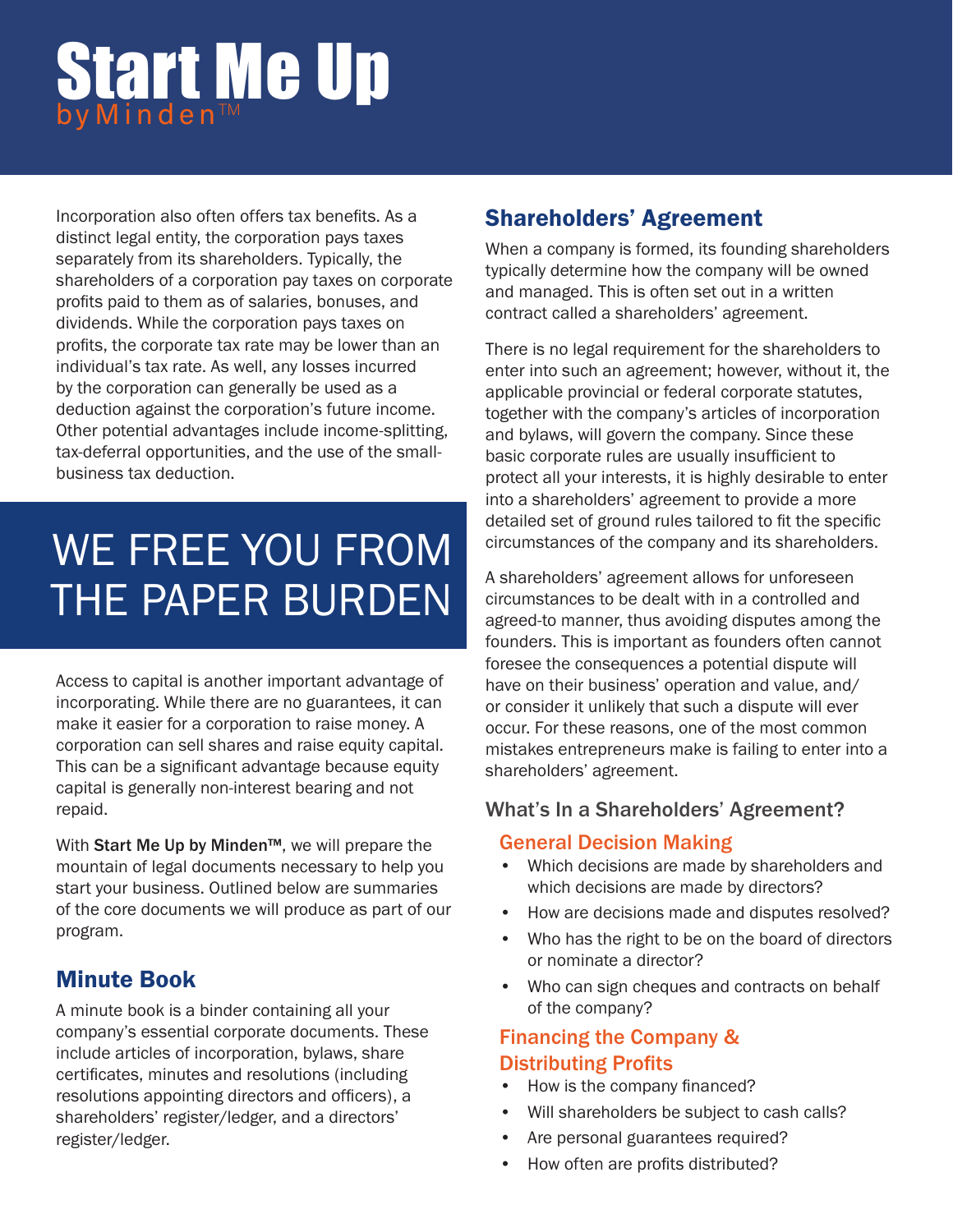Incorporation also often offers tax benefits. As a distinct legal entity, the corporation pays taxes separately from its shareholders. Typically, the shareholders of a corporation pay taxes on corporate profits paid to them as of salaries, bonuses, and dividends. While the corporation pays taxes on profits, the corporate tax rate may be lower than an individual's tax rate. As well, any losses incurred by the corporation can generally be used as a deduction against the corporation's future income. Other potential advantages include income-splitting, tax-deferral opportunities, and the use of the smallbusiness tax deduction.

## WE FREE YOU FROM THE PAPER BURDEN

Access to capital is another important advantage of incorporating. While there are no guarantees, it can make it easier for a corporation to raise money. A corporation can sell shares and raise equity capital. This can be a significant advantage because equity capital is generally non-interest bearing and not repaid.

With Start Me Up by Minden™, we will prepare the mountain of legal documents necessary to help you start your business. Outlined below are summaries of the core documents we will produce as part of our program.

#### Minute Book

A minute book is a binder containing all your company's essential corporate documents. These include articles of incorporation, bylaws, share certificates, minutes and resolutions (including resolutions appointing directors and officers), a shareholders' register/ledger, and a directors' register/ledger.

#### Shareholders' Agreement

When a company is formed, its founding shareholders typically determine how the company will be owned and managed. This is often set out in a written contract called a shareholders' agreement.

There is no legal requirement for the shareholders to enter into such an agreement; however, without it, the applicable provincial or federal corporate statutes, together with the company's articles of incorporation and bylaws, will govern the company. Since these basic corporate rules are usually insufficient to protect all your interests, it is highly desirable to enter into a shareholders' agreement to provide a more detailed set of ground rules tailored to fit the specific circumstances of the company and its shareholders.

A shareholders' agreement allows for unforeseen circumstances to be dealt with in a controlled and agreed-to manner, thus avoiding disputes among the founders. This is important as founders often cannot foresee the consequences a potential dispute will have on their business' operation and value, and/ or consider it unlikely that such a dispute will ever occur. For these reasons, one of the most common mistakes entrepreneurs make is failing to enter into a shareholders' agreement.

#### What's In a Shareholders' Agreement?

#### General Decision Making

- Which decisions are made by shareholders and which decisions are made by directors?
- How are decisions made and disputes resolved?
- Who has the right to be on the board of directors or nominate a director?
- Who can sign cheques and contracts on behalf of the company?

#### Financing the Company & Distributing Profits

- How is the company financed?
- Will shareholders be subject to cash calls?
- Are personal guarantees required?
- How often are profits distributed?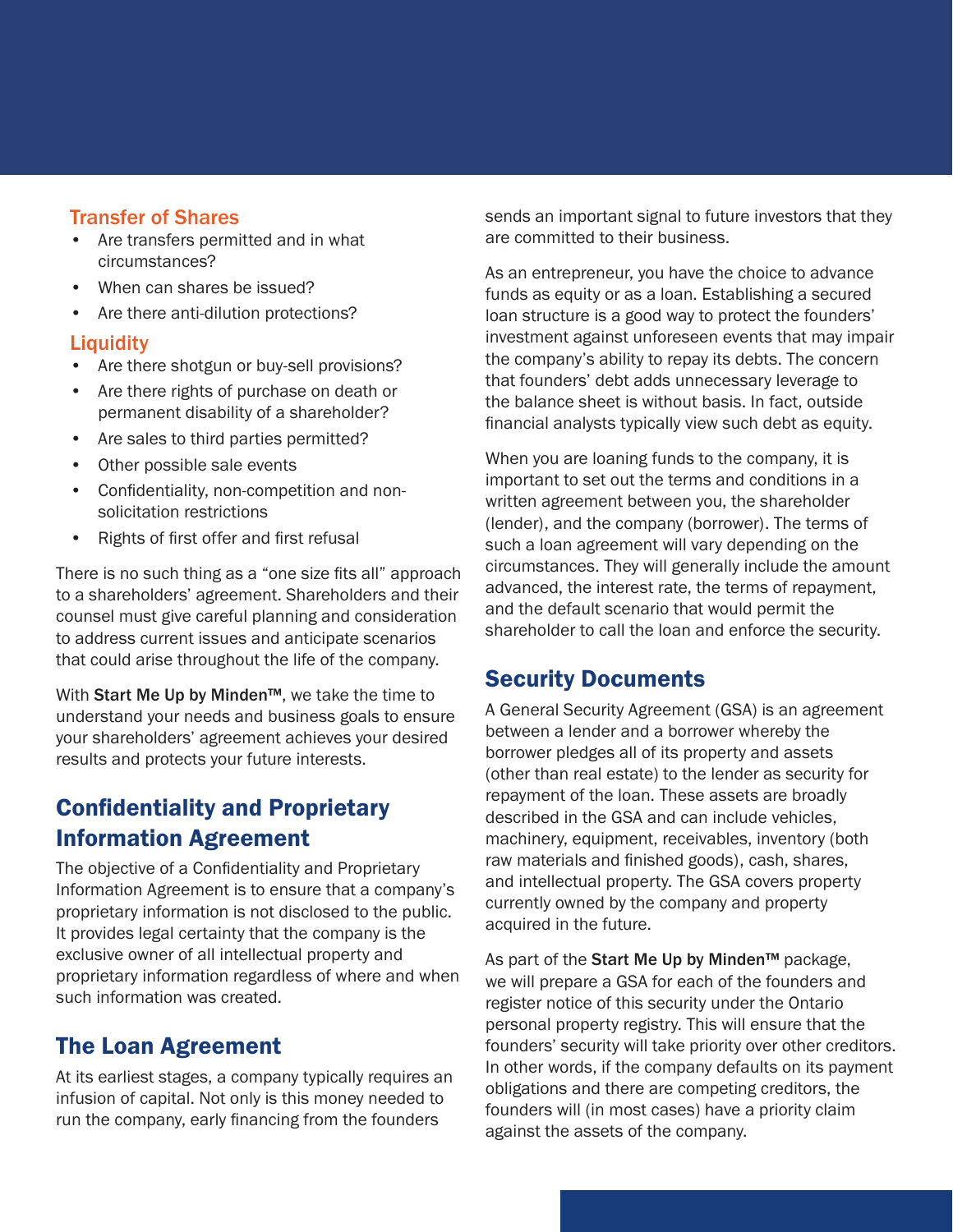#### Transfer of Shares

- Are transfers permitted and in what circumstances?
- When can shares be issued?
- Are there anti-dilution protections?

#### **Liquidity**

- Are there shotgun or buy-sell provisions?
- Are there rights of purchase on death or permanent disability of a shareholder?
- Are sales to third parties permitted?
- Other possible sale events
- Confidentiality, non-competition and nonsolicitation restrictions
- Rights of first offer and first refusal

There is no such thing as a "one size fits all" approach to a shareholders' agreement. Shareholders and their counsel must give careful planning and consideration to address current issues and anticipate scenarios that could arise throughout the life of the company.

With Start Me Up by Minden™, we take the time to understand your needs and business goals to ensure your shareholders' agreement achieves your desired results and protects your future interests.

#### Confidentiality and Proprietary Information Agreement

The objective of a Confidentiality and Proprietary Information Agreement is to ensure that a company's proprietary information is not disclosed to the public. It provides legal certainty that the company is the exclusive owner of all intellectual property and proprietary information regardless of where and when such information was created.

#### The Loan Agreement

At its earliest stages, a company typically requires an infusion of capital. Not only is this money needed to run the company, early financing from the founders

sends an important signal to future investors that they are committed to their business.

As an entrepreneur, you have the choice to advance funds as equity or as a loan. Establishing a secured loan structure is a good way to protect the founders' investment against unforeseen events that may impair the company's ability to repay its debts. The concern that founders' debt adds unnecessary leverage to the balance sheet is without basis. In fact, outside financial analysts typically view such debt as equity.

When you are loaning funds to the company, it is important to set out the terms and conditions in a written agreement between you, the shareholder (lender), and the company (borrower). The terms of such a loan agreement will vary depending on the circumstances. They will generally include the amount advanced, the interest rate, the terms of repayment, and the default scenario that would permit the shareholder to call the loan and enforce the security.

#### Security Documents

A General Security Agreement (GSA) is an agreement between a lender and a borrower whereby the borrower pledges all of its property and assets (other than real estate) to the lender as security for repayment of the loan. These assets are broadly described in the GSA and can include vehicles, machinery, equipment, receivables, inventory (both raw materials and finished goods), cash, shares, and intellectual property. The GSA covers property currently owned by the company and property acquired in the future.

As part of the Start Me Up by Minden™ package, we will prepare a GSA for each of the founders and register notice of this security under the Ontario personal property registry. This will ensure that the founders' security will take priority over other creditors. In other words, if the company defaults on its payment obligations and there are competing creditors, the founders will (in most cases) have a priority claim against the assets of the company.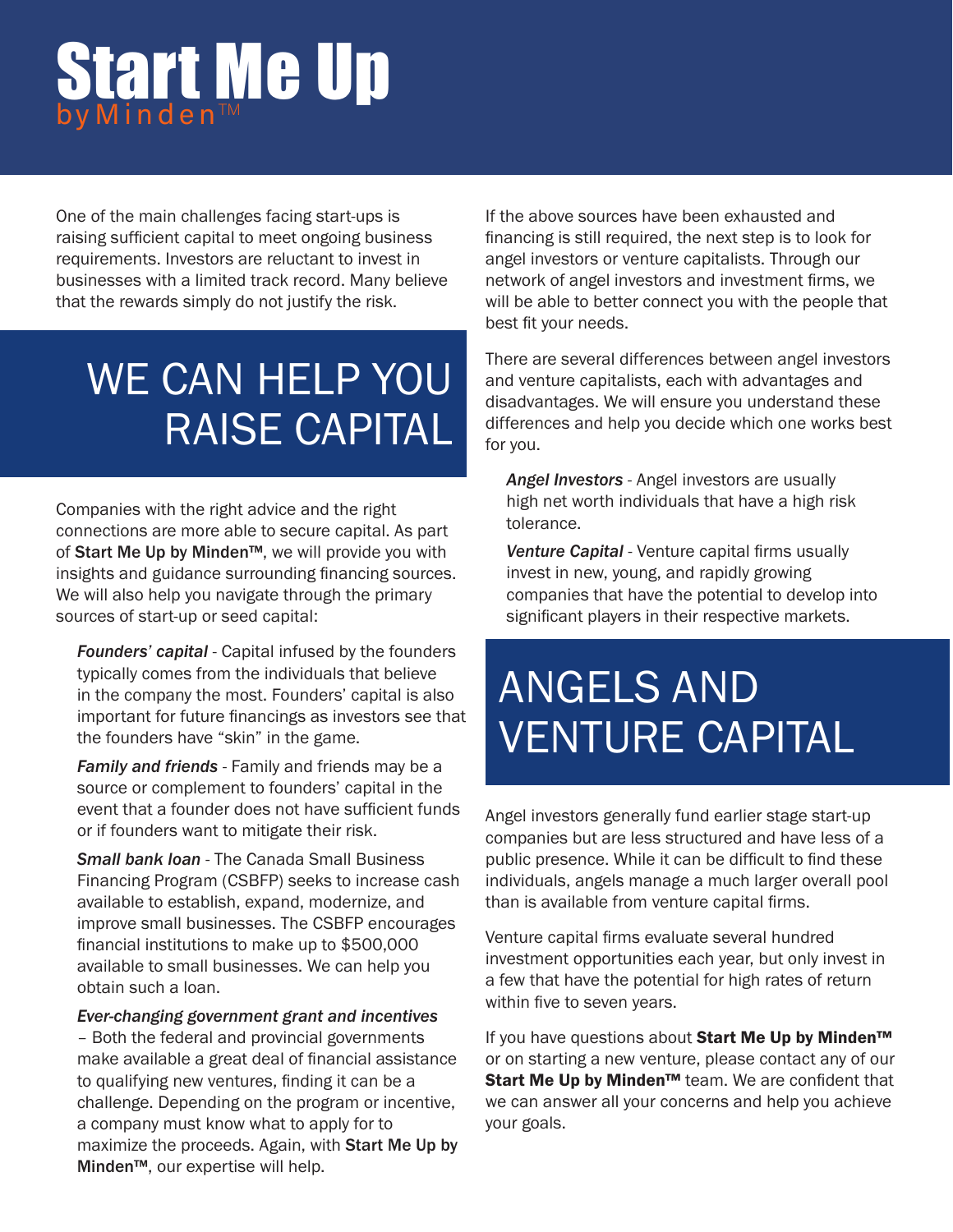One of the main challenges facing start-ups is raising sufficient capital to meet ongoing business requirements. Investors are reluctant to invest in businesses with a limited track record. Many believe that the rewards simply do not justify the risk.

# WE CAN HELP YOU RAISE CAPITAL

Companies with the right advice and the right connections are more able to secure capital. As part of Start Me Up by Minden™, we will provide you with insights and guidance surrounding financing sources. We will also help you navigate through the primary sources of start-up or seed capital:

*Founders' capital* - Capital infused by the founders typically comes from the individuals that believe in the company the most. Founders' capital is also important for future financings as investors see that the founders have "skin" in the game.

*Family and friends* - Family and friends may be a source or complement to founders' capital in the event that a founder does not have sufficient funds or if founders want to mitigate their risk.

*Small bank loan* - The Canada Small Business Financing Program (CSBFP) seeks to increase cash available to establish, expand, modernize, and improve small businesses. The CSBFP encourages financial institutions to make up to \$500,000 available to small businesses. We can help you obtain such a loan.

#### *Ever-changing government grant and incentives*

– Both the federal and provincial governments make available a great deal of financial assistance to qualifying new ventures, finding it can be a challenge. Depending on the program or incentive, a company must know what to apply for to maximize the proceeds. Again, with Start Me Up by Minden™, our expertise will help.

If the above sources have been exhausted and financing is still required, the next step is to look for angel investors or venture capitalists. Through our network of angel investors and investment firms, we will be able to better connect you with the people that best fit your needs.

There are several differences between angel investors and venture capitalists, each with advantages and disadvantages. We will ensure you understand these differences and help you decide which one works best for you.

*Angel Investors* - Angel investors are usually high net worth individuals that have a high risk tolerance.

*Venture Capital* - Venture capital firms usually invest in new, young, and rapidly growing companies that have the potential to develop into significant players in their respective markets.

# ANGELS AND VENTURE CAPITAL

Angel investors generally fund earlier stage start-up companies but are less structured and have less of a public presence. While it can be difficult to find these individuals, angels manage a much larger overall pool than is available from venture capital firms.

Venture capital firms evaluate several hundred investment opportunities each year, but only invest in a few that have the potential for high rates of return within five to seven years.

If you have questions about Start Me Up by Minden™ or on starting a new venture, please contact any of our Start Me Up by Minden™ team. We are confident that we can answer all your concerns and help you achieve your goals.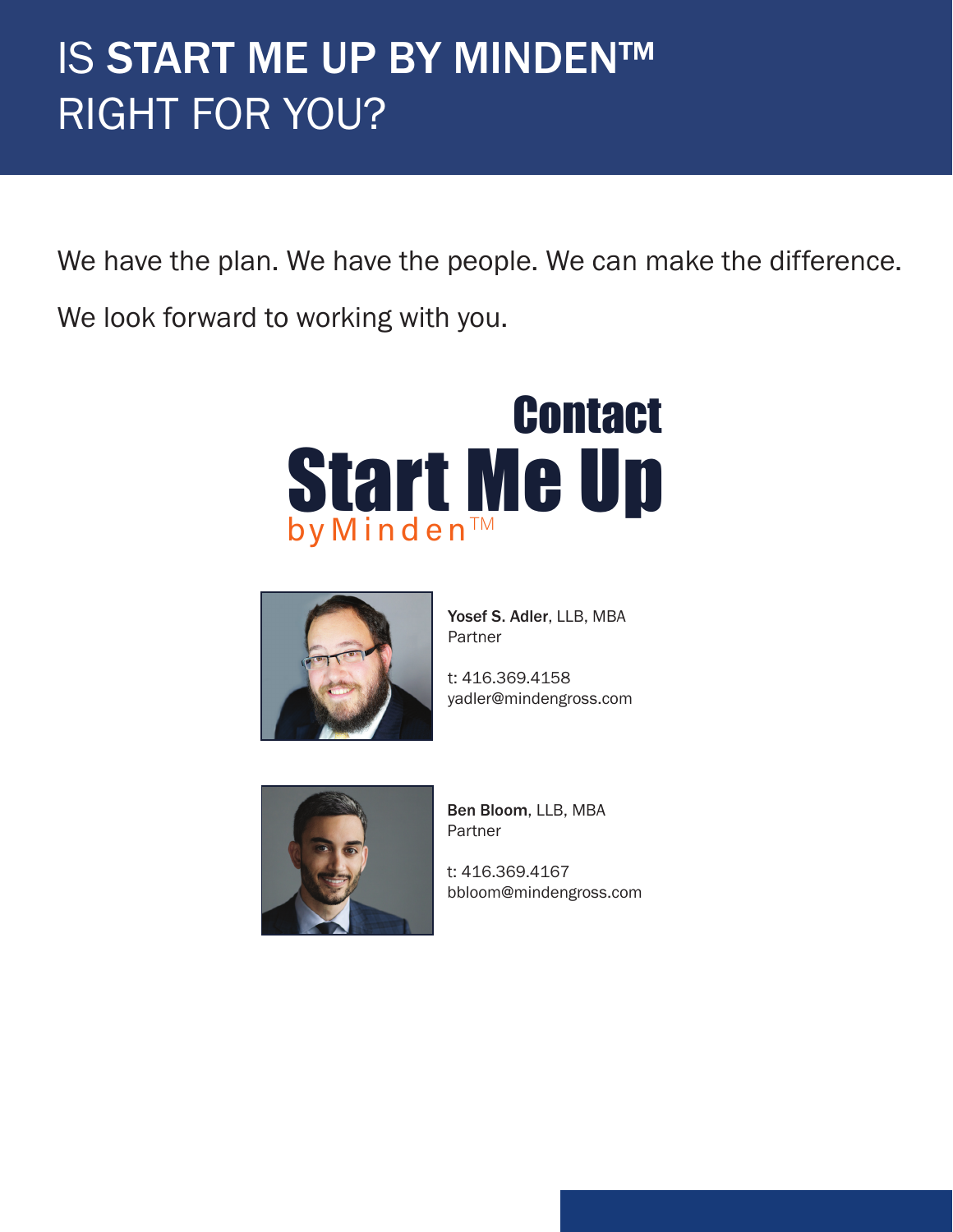# **IS START ME UP BY MINDEN™** RIGHT FOR YOU?

We have the plan. We have the people. We can make the difference.

We look forward to working with you.





Yosef S. Adler, LLB, MBA Partner

t: 416.369.4158 yadler@mindengross.com



Ben Bloom, LLB, MBA Partner

t: 416.369.4167 bbloom@mindengross.com